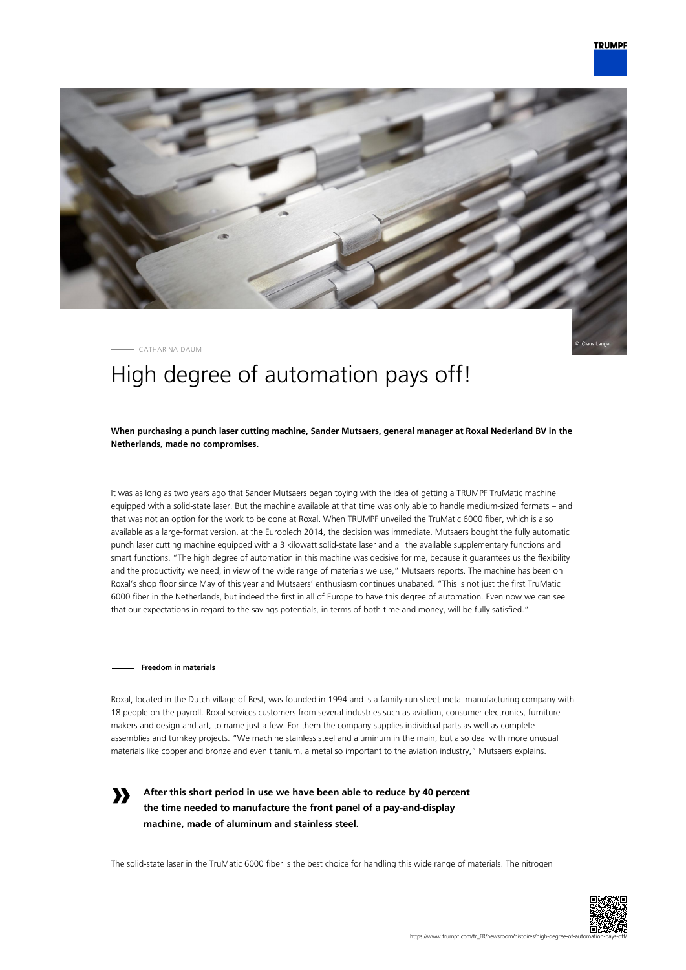

CATHARINA DAUM

# High degree of automation pays off!

**When purchasing a punch laser cutting machine, Sander Mutsaers, general manager at Roxal Nederland BV in the Netherlands, made no compromises.**

It was as long as two years ago that Sander Mutsaers began toying with the idea of getting a TRUMPF TruMatic machine equipped with a solid-state laser. But the machine available at that time was only able to handle medium-sized formats – and that was not an option for the work to be done at Roxal. When TRUMPF unveiled the TruMatic 6000 fiber, which is also available as a large-format version, at the Euroblech 2014, the decision was immediate. Mutsaers bought the fully automatic punch laser cutting machine equipped with a 3 kilowatt solid-state laser and all the available supplementary functions and smart functions. "The high degree of automation in this machine was decisive for me, because it guarantees us the flexibility and the productivity we need, in view of the wide range of materials we use," Mutsaers reports. The machine has been on Roxal's shop floor since May of this year and Mutsaers' enthusiasm continues unabated. "This is not just the first TruMatic 6000 fiber in the Netherlands, but indeed the first in all of Europe to have this degree of automation. Even now we can see that our expectations in regard to the savings potentials, in terms of both time and money, will be fully satisfied."

### **Freedom in materials**

**»**

Roxal, located in the Dutch village of Best, was founded in 1994 and is a family-run sheet metal manufacturing company with 18 people on the payroll. Roxal services customers from several industries such as aviation, consumer electronics, furniture makers and design and art, to name just a few. For them the company supplies individual parts as well as complete assemblies and turnkey projects. "We machine stainless steel and aluminum in the main, but also deal with more unusual materials like copper and bronze and even titanium, a metal so important to the aviation industry," Mutsaers explains.

**After this short period in use we have been able to reduce by 40 percent the time needed to manufacture the front panel of a pay-and-display machine, made of aluminum and stainless steel.**

The solid-state laser in the TruMatic 6000 fiber is the best choice for handling this wide range of materials. The nitrogen

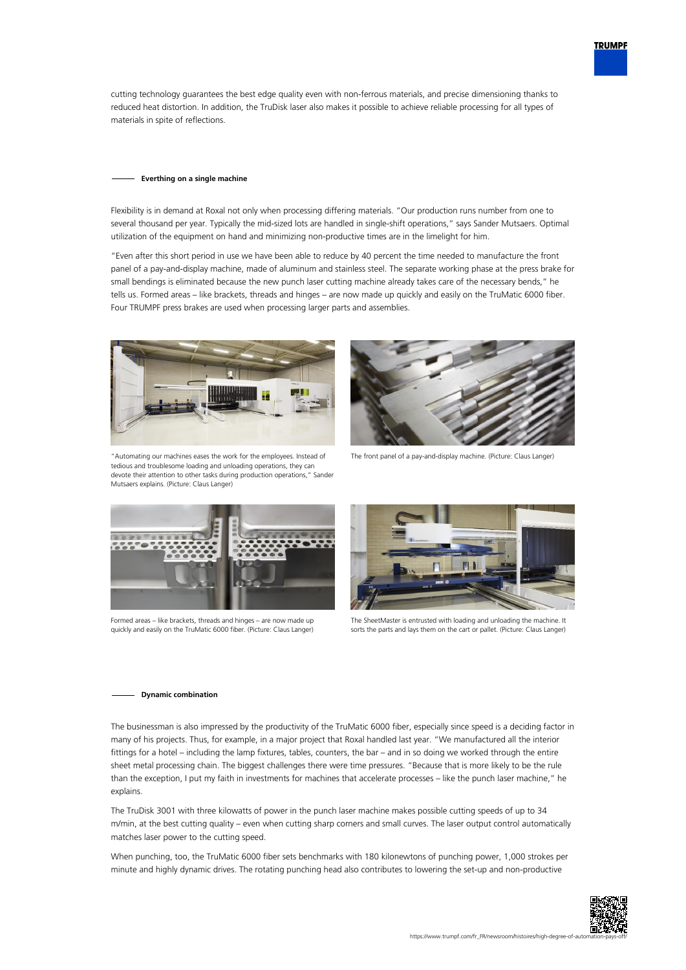cutting technology guarantees the best edge quality even with non-ferrous materials, and precise dimensioning thanks to reduced heat distortion. In addition, the TruDisk laser also makes it possible to achieve reliable processing for all types of materials in spite of reflections.

#### **Everthing on a single machine**

Flexibility is in demand at Roxal not only when processing differing materials. "Our production runs number from one to several thousand per year. Typically the mid-sized lots are handled in single-shift operations," says Sander Mutsaers. Optimal utilization of the equipment on hand and minimizing non-productive times are in the limelight for him.

"Even after this short period in use we have been able to reduce by 40 percent the time needed to manufacture the front panel of a pay-and-display machine, made of aluminum and stainless steel. The separate working phase at the press brake for small bendings is eliminated because the new punch laser cutting machine already takes care of the necessary bends," he tells us. Formed areas – like brackets, threads and hinges – are now made up quickly and easily on the TruMatic 6000 fiber. Four TRUMPF press brakes are used when processing larger parts and assemblies.



"Automating our machines eases the work for the employees. Instead of tedious and troublesome loading and unloading operations, they can devote their attention to other tasks during production operations," Sander Mutsaers explains. (Picture: Claus Langer)



The front panel of a pay-and-display machine. (Picture: Claus Langer)



Formed areas – like brackets, threads and hinges – are now made up quickly and easily on the TruMatic 6000 fiber. (Picture: Claus Langer)



The SheetMaster is entrusted with loading and unloading the machine. It sorts the parts and lays them on the cart or pallet. (Picture: Claus Langer)

### **Dynamic combination**

The businessman is also impressed by the productivity of the TruMatic 6000 fiber, especially since speed is a deciding factor in many of his projects. Thus, for example, in a major project that Roxal handled last year. "We manufactured all the interior fittings for a hotel – including the lamp fixtures, tables, counters, the bar – and in so doing we worked through the entire sheet metal processing chain. The biggest challenges there were time pressures. "Because that is more likely to be the rule than the exception, I put my faith in investments for machines that accelerate processes – like the punch laser machine," he explains.

The TruDisk 3001 with three kilowatts of power in the punch laser machine makes possible cutting speeds of up to 34 m/min, at the best cutting quality – even when cutting sharp corners and small curves. The laser output control automatically matches laser power to the cutting speed.

When punching, too, the TruMatic 6000 fiber sets benchmarks with 180 kilonewtons of punching power, 1,000 strokes per minute and highly dynamic drives. The rotating punching head also contributes to lowering the set-up and non-productive



**TRUMPF**